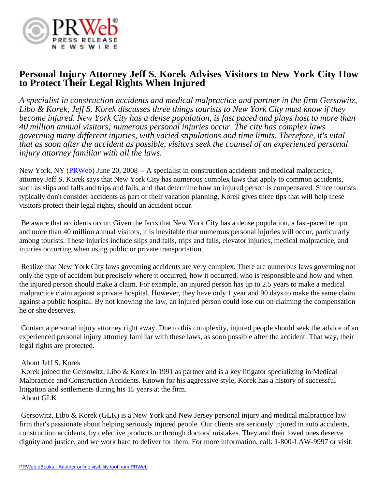

# **Personal Injury Attorney Jeff S. Korek Advises Visitors to New York City How to Protect Their Legal Rights When Injured**

*A specialist in construction accidents and medical malpractice and partner in the firm Gersowitz, Libo & Korek, Jeff S. Korek discusses three things tourists to New York City must know if they become injured. New York City has a dense population, is fast paced and plays host to more than 40 million annual visitors; numerous personal injuries occur. The city has complex laws governing many different injuries, with varied stipulations and time limits. Therefore, it's vital that as soon after the accident as possible, visitors seek the counsel of an experienced personal injury attorney familiar with all the laws.*

New York, NY ([PRWeb](http://www.prweb.com)) June 20, 2008 -- A specialist in construction accidents and medical malpractice, attorney Jeff S. Korek says that New York City has numerous complex laws that apply to common accidents, such as slips and falls and trips and falls, and that determine how an injured person is compensated. Since tourists typically don't consider accidents as part of their vacation planning, Korek gives three tips that will help these visitors protect their legal rights, should an accident occur.

 Be aware that accidents occur. Given the facts that New York City has a dense population, a fast-paced tempo and more than 40 million annual visitors, it is inevitable that numerous personal injuries will occur, particularly among tourists. These injuries include slips and falls, trips and falls, elevator injuries, medical malpractice, and injuries occurring when using public or private transportation.

 Realize that New York City laws governing accidents are very complex. There are numerous laws governing not only the type of accident but precisely where it occurred, how it occurred, who is responsible and how and when the injured person should make a claim. For example, an injured person has up to 2.5 years to make a medical malpractice claim against a private hospital. However, they have only 1 year and 90 days to make the same claim against a public hospital. By not knowing the law, an injured person could lose out on claiming the compensation he or she deserves.

 Contact a personal injury attorney right away. Due to this complexity, injured people should seek the advice of an experienced personal injury attorney familiar with these laws, as soon possible after the accident. That way, their legal rights are protected.

# About Jeff S. Korek

 Korek joined the Gersowitz, Libo & Korek in 1991 as partner and is a key litigator specializing in Medical Malpractice and Construction Accidents. Known for his aggressive style, Korek has a history of successful litigation and settlements during his 15 years at the firm. About GLK

 Gersowitz, Libo & Korek (GLK) is a New York and New Jersey personal injury and medical malpractice law firm that's passionate about helping seriously injured people. Our clients are seriously injured in auto accidents, construction accidents, by defective products or through doctors' mistakes. They and their loved ones deserve dignity and justice, and we work hard to deliver for them. For more information, call: 1-800-LAW-9997 or visit: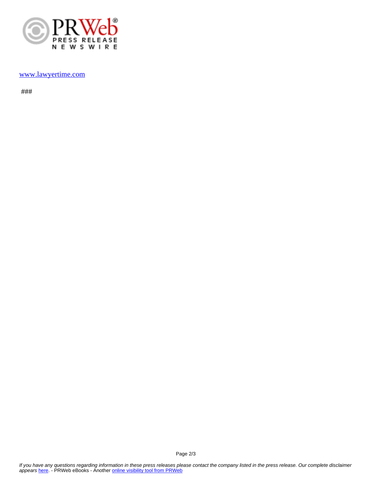

#### [www.lawyertime.com](http://www.lawyertime.com)

###